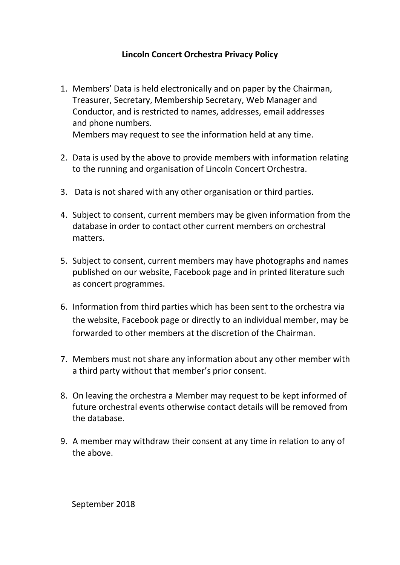## **Lincoln Concert Orchestra Privacy Policy**

- 1. Members' Data is held electronically and on paper by the Chairman, Treasurer, Secretary, Membership Secretary, Web Manager and Conductor, and is restricted to names, addresses, email addresses and phone numbers. Members may request to see the information held at any time.
- 2. Data is used by the above to provide members with information relating to the running and organisation of Lincoln Concert Orchestra.
- 3. Data is not shared with any other organisation or third parties.
- 4. Subject to consent, current members may be given information from the database in order to contact other current members on orchestral matters.
- 5. Subject to consent, current members may have photographs and names published on our website, Facebook page and in printed literature such as concert programmes.
- 6. Information from third parties which has been sent to the orchestra via the website, Facebook page or directly to an individual member, may be forwarded to other members at the discretion of the Chairman.
- 7. Members must not share any information about any other member with a third party without that member's prior consent.
- 8. On leaving the orchestra a Member may request to be kept informed of future orchestral events otherwise contact details will be removed from the database.
- 9. A member may withdraw their consent at any time in relation to any of the above.

September 2018